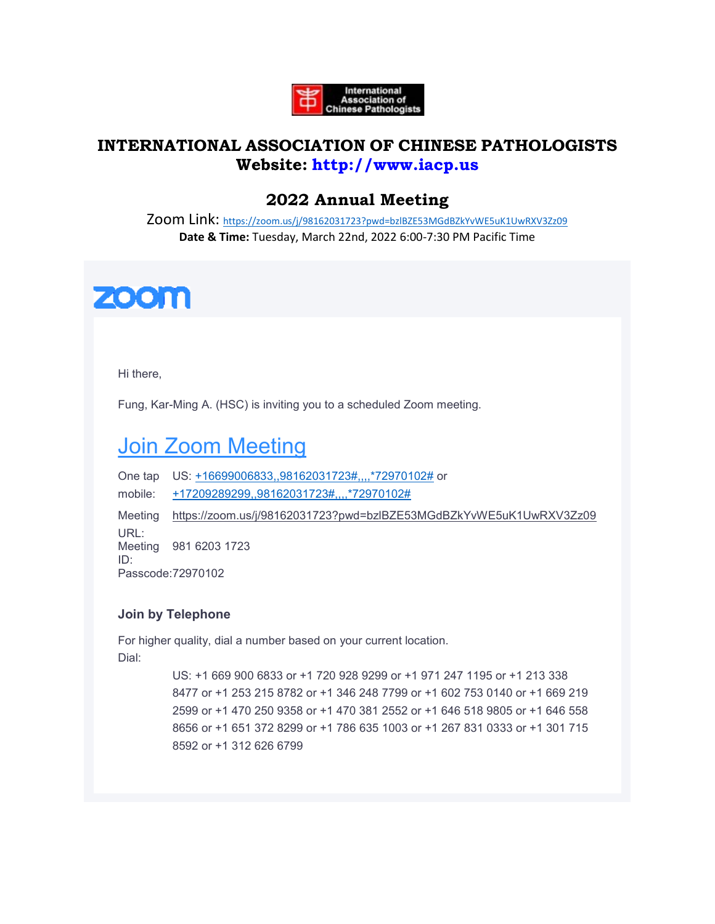

## **INTERNATIONAL ASSOCIATION OF CHINESE PATHOLOGISTS Website: [http://www.iacp.us](http://www.iacp.us/)**

## **2022 Annual Meeting**

Zoom Link: <https://zoom.us/j/98162031723?pwd=bzlBZE53MGdBZkYvWE5uK1UwRXV3Zz09> **Date & Time:** Tuesday, March 22nd, 2022 6:00-7:30 PM Pacific Time



Hi there,

Fung, Kar-Ming A. (HSC) is inviting you to a scheduled Zoom meeting.

# [Join Zoom Meeting](https://zoom.us/j/98162031723?pwd=bzlBZE53MGdBZkYvWE5uK1UwRXV3Zz09)

One tap US: [+16699006833,,98162031723#,,,,\\*72970102#](tel:+16699006833,,98162031723#,,,,*72970102#) or mobile: [+17209289299,,98162031723#,,,,\\*72970102#](tel:+17209289299,,98162031723#,,,,*72970102#) Meeting <https://zoom.us/j/98162031723?pwd=bzlBZE53MGdBZkYvWE5uK1UwRXV3Zz09> URL: Meeting 981 6203 1723 ID: Passcode:72970102

### **Join by Telephone**

For higher quality, dial a number based on your current location. Dial:

> US: +1 669 900 6833 or +1 720 928 9299 or +1 971 247 1195 or +1 213 338 8477 or +1 253 215 8782 or +1 346 248 7799 or +1 602 753 0140 or +1 669 219 2599 or +1 470 250 9358 or +1 470 381 2552 or +1 646 518 9805 or +1 646 558 8656 or +1 651 372 8299 or +1 786 635 1003 or +1 267 831 0333 or +1 301 715 8592 or +1 312 626 6799